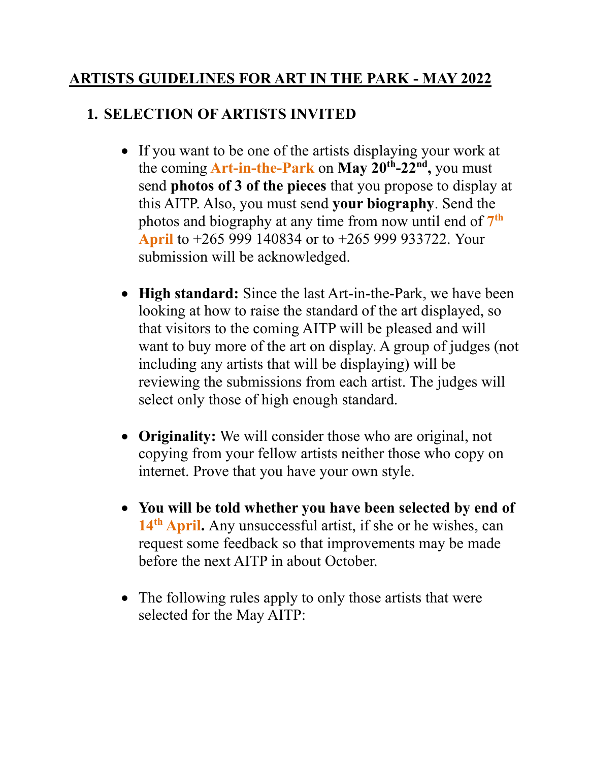### **ARTISTS GUIDELINES FOR ART IN THE PARK - MAY 2022**

#### **1. SELECTION OF ARTISTS INVITED**

- If you want to be one of the artists displaying your work at the coming **Art-in-the-Park** on **May 20th -22nd ,** you must send **photos of 3 of the pieces** that you propose to display at this AITP. Also, you must send **your biography**. Send the photos and biography at any time from now until end of **7 th April** to +265 999 140834 or to +265 999 933722. Your submission will be acknowledged.
- **High standard:** Since the last Art-in-the-Park, we have been looking at how to raise the standard of the art displayed, so that visitors to the coming AITP will be pleased and will want to buy more of the art on display. A group of judges (not including any artists that will be displaying) will be reviewing the submissions from each artist. The judges will select only those of high enough standard.
- **Originality:** We will consider those who are original, not copying from your fellow artists neither those who copy on internet. Prove that you have your own style.
- **You will be told whether you have been selected by end of 14th April.** Any unsuccessful artist, if she or he wishes, can request some feedback so that improvements may be made before the next AITP in about October.
- The following rules apply to only those artists that were selected for the May AITP: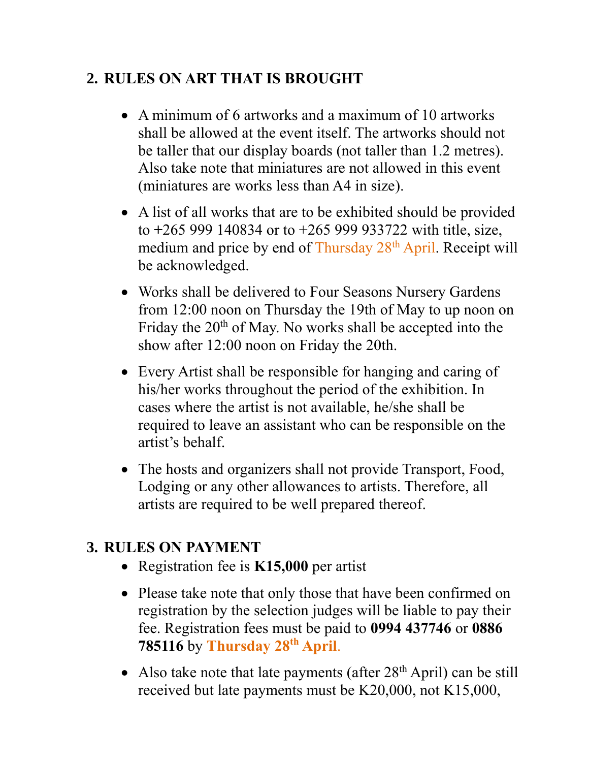## **2. RULES ON ART THAT IS BROUGHT**

- A minimum of 6 artworks and a maximum of 10 artworks shall be allowed at the event itself. The artworks should not be taller that our display boards (not taller than 1.2 metres). Also take note that miniatures are not allowed in this event (miniatures are works less than A4 in size).
- A list of all works that are to be exhibited should be provided to **+**265 999 140834 or to +265 999 933722 with title, size, medium and price by end of Thursday 28<sup>th</sup> April. Receipt will be acknowledged.
- Works shall be delivered to Four Seasons Nursery Gardens from 12:00 noon on Thursday the 19th of May to up noon on Friday the 20<sup>th</sup> of May. No works shall be accepted into the show after 12:00 noon on Friday the 20th.
- Every Artist shall be responsible for hanging and caring of his/her works throughout the period of the exhibition. In cases where the artist is not available, he/she shall be required to leave an assistant who can be responsible on the artist's behalf.
- The hosts and organizers shall not provide Transport, Food, Lodging or any other allowances to artists. Therefore, all artists are required to be well prepared thereof.

# **3. RULES ON PAYMENT**

- Registration fee is **K15,000** per artist
- Please take note that only those that have been confirmed on registration by the selection judges will be liable to pay their fee. Registration fees must be paid to **0994 437746** or **0886 785116** by **Thursday 28th April**.
- Also take note that late payments (after  $28<sup>th</sup>$  April) can be still received but late payments must be K20,000, not K15,000,